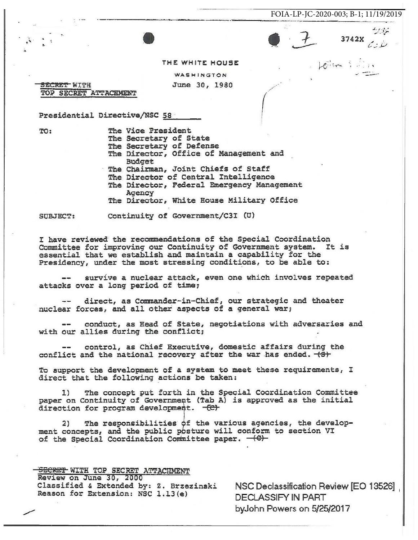





シバン

THE WHITE HOUSE

WASHINGTON June 30, 1980

<del>SECRET </del>WITH TOP SECRET ATTACHMENT

Presidential Directive/NSC 58

TO:

The Vice President The Secretary of State The Secretary of Defense The Director, Office of Management and Budget The Chairman, Joint Chiefs of Staff The Director of Central Intelligence The Director, Federal Emergency Management Agency The Director, White House Military Office

**SUBJECT:** 

Continuity of Government/C3I (U)

I have reviewed the recommendations of the Special Coordination Committee for improving our Continuity of Government system. It is essential that we establish and maintain a capability for the Presidency, under the most stressing conditions, to be able to:

survive a nuclear attack, even one which involves repeated attacks over a long period of time;

direct, as Commander-in-Chief, our strategic and theater nuclear forces, and all other aspects of a general war;

conduct, as Head of State, negotiations with adversaries and with our allies during the conflict;

control, as Chief Executive, domestic affairs during the  $\frac{1}{2}$ conflict and the national recovery after the war has ended. (S)

To support the development of a system to meet these requirements, I direct that the following actions be taken:

The concept put forth in the Special Coordination Committee 1) paper on Continuity of Government (Tab A) is approved as the initial direction for program development. - (C)

The responsibilities of the various agencies, the develop- $2)$ ment concepts, and the public posture will conform to section VI of the Special Coordination Committee paper. - (C)-

SECRET WITH TOP SECRET ATTACHMENT Review on June 30, 2000 Classified & Extended by: Z. Brzezinski Reason for Extension: NSC 1.13(e)

NSC Declassification Review [EO 13526] **DECLASSIFY IN PART** byJohn Powers on 5/25/2017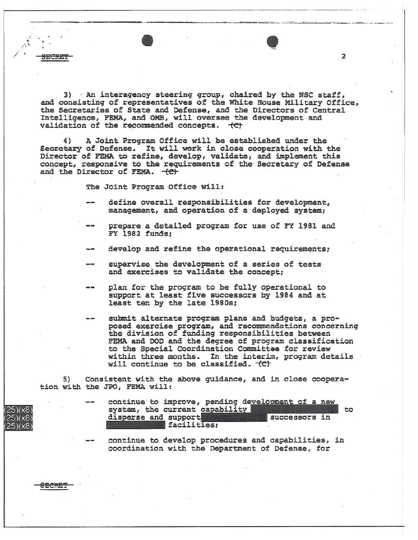3) An interagency steering group, chaired by the NSC staff, and consisting of representatives of the White House Military Office, the Secretaries of State and Defense, and the Directors of Central Intelligence, FEMA, and OMB, will oversee the development and validation of the recommended concepts. (C)

A Joint Program Office will be established under the  $4)$ Secretary of Defense. It will work in close cooperation with the Director of FEMA to refine, develop, validate, and implement this concept, responsive to the requirements of the Secretary of Defense and the Director of FEMA. (C)

The Joint Program Office will:

- define overall responsibilities for development, management, and operation of a deployed system;
- prepare a detailed program for use of FY 1981 and FY 1982 funds;
- develop and refine the operational requirements;
- supervise the development of a series of tests and exercises to validate the concept;
- plan for the program to be fully operational to support at least five successors by 1984 and at least ten by the late 1980s;
- submit alternate program plans and budgets, a proposed exercise program, and recommendations concerning the division of funding responsibilities between FEMA and DOD and the degree of program classification to the Special Coordination Committee for review within three months. In the interim, program details will continue to be classified. (C)

Consistent with the above guidance, and in close coopera-5) tion with the JPO, FEMA will:

|  | continue to improve, pending development of a new      |             |               |  |    |  |
|--|--------------------------------------------------------|-------------|---------------|--|----|--|
|  | system, the current capability<br>disperse and support |             | successors in |  | to |  |
|  |                                                        | facilities; |               |  |    |  |

continue to develop procedures and capabilities, in coordination with the Department of Defense, for



 $(25)(x8)$  $25)(x8)$  $(25)(x8)$ 

 $\overline{2}$